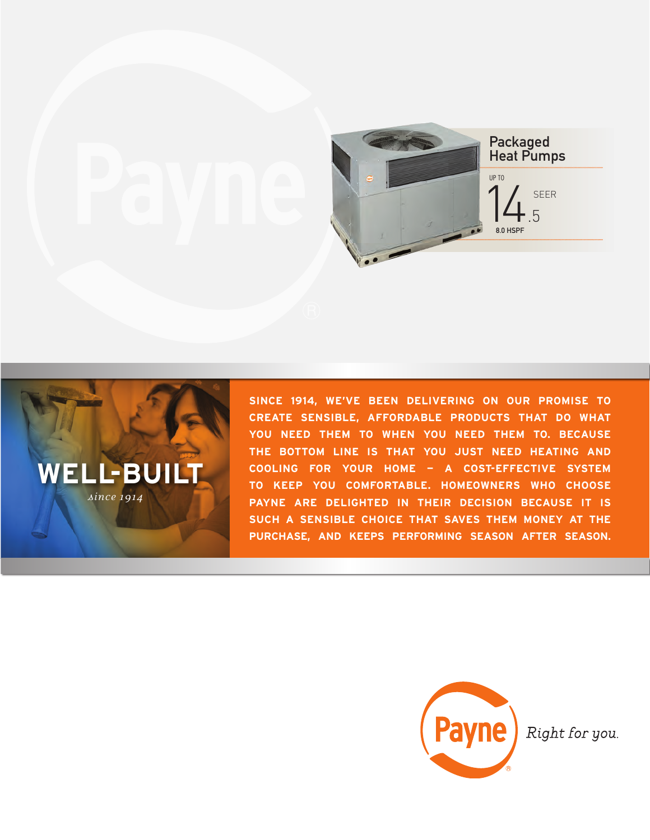



**SINCE 1914, WE'VE BEEN DELIVERING ON OUR PROMISE TO CREATE SENSIBLE, AFFORDABLE PRODUCTS THAT DO WHAT YOU NEED THEM TO WHEN YOU NEED THEM TO. BECAUSE THE BOTTOM LINE IS THAT YOU JUST NEED HEATING AND COOLING FOR YOUR HOME — A COST-EFFECTIVE SYSTEM TO KEEP YOU COMFORTABLE. HOMEOWNERS WHO CHOOSE PAYNE ARE DELIGHTED IN THEIR DECISION BECAUSE IT IS SUCH A SENSIBLE CHOICE THAT SAVES THEM MONEY AT THE PURCHASE, AND KEEPS PERFORMING SEASON AFTER SEASON.**



Right for you.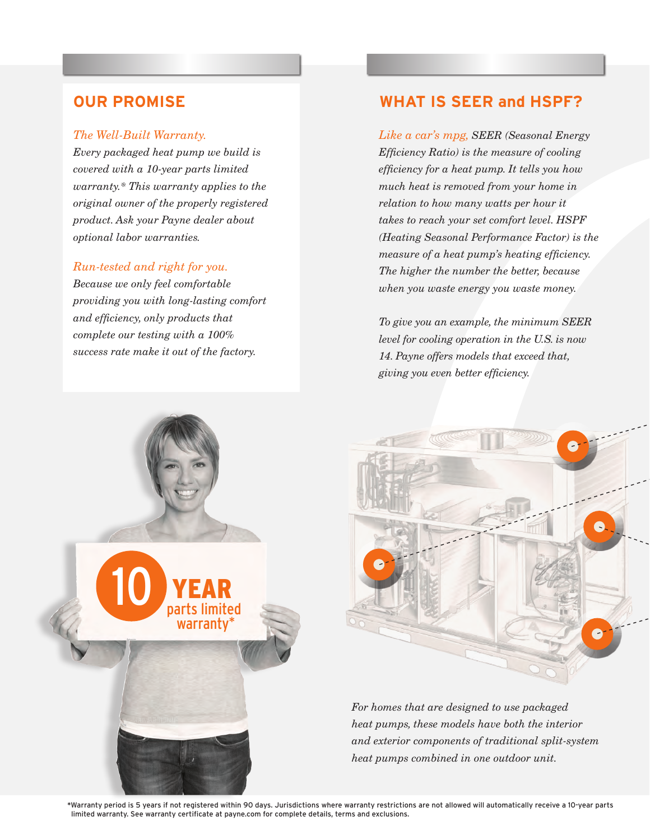#### *The Well-Built Warranty.*

*Every packaged heat pump we build is covered with a 10-year parts limited warranty.\* This warranty applies to the original owner of the properly registered product. Ask your Payne dealer about optional labor warranties.*

### *Run-tested and right for you.*

*Because we only feel comfortable providing you with long-lasting comfort and efficiency, only products that complete our testing with a 100% success rate make it out of the factory.* 

## **OUR PROMISE WHAT IS SEER and HSPF?**

*Like a car's mpg, SEER (Seasonal Energy Efficiency Ratio) is the measure of cooling efficiency for a heat pump. It tells you how much heat is removed from your home in relation to how many watts per hour it takes to reach your set comfort level. HSPF (Heating Seasonal Performance Factor) is the measure of a heat pump's heating efficiency. The higher the number the better, because when you waste energy you waste money.*

*To give you an example, the minimum SEER level for cooling operation in the U.S. is now 14. Payne offers models that exceed that, giving you even better efficiency.*



*For homes that are designed to use packaged heat pumps, these models have both the interior and exterior components of traditional split-system heat pumps combined in one outdoor unit.*

\*Warranty period is 5 years if not registered within 90 days. Jurisdictions where warranty restrictions are not allowed will automatically receive a 10-year parts limited warranty. See warranty certificate at payne.com for complete details, terms and exclusions.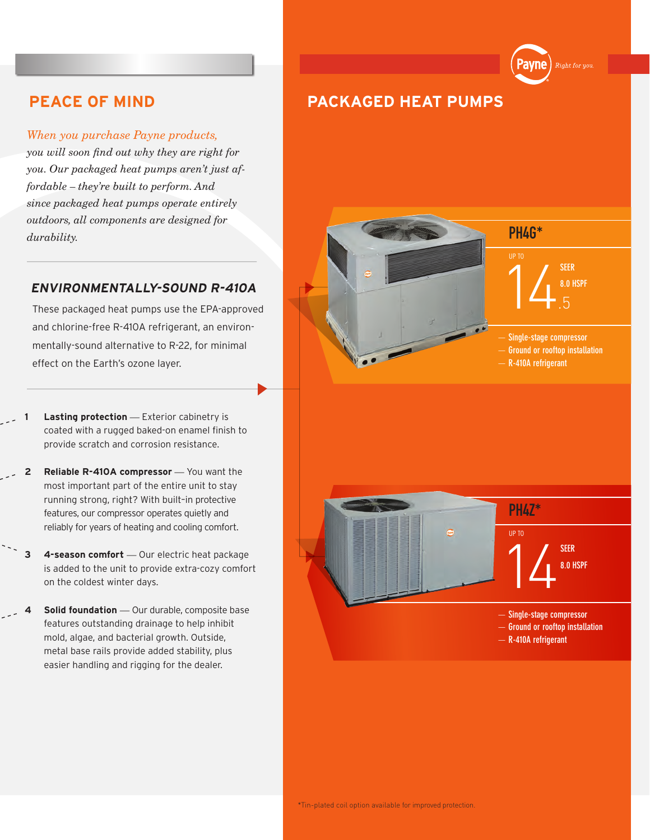#### *When you purchase Payne products,*

*you will soon find out why they are right for you. Our packaged heat pumps aren't just affordable – they're built to perform. And since packaged heat pumps operate entirely outdoors, all components are designed for durability.*

### **ENVIRONMENTALLY-SOUND R-410A**

These packaged heat pumps use the EPA-approved and chlorine-free R-410A refrigerant, an environmentally-sound alternative to R-22, for minimal effect on the Earth's ozone layer.

- **Lasting protection** Exterior cabinetry is coated with a rugged baked-on enamel finish to provide scratch and corrosion resistance.
- **2 Reliable R-410A compressor** *—* You want the most important part of the entire unit to stay running strong, right? With built–in protective features, our compressor operates quietly and reliably for years of heating and cooling comfort.
- **3 4-season comfort** *—* Our electric heat package is added to the unit to provide extra-cozy comfort on the coldest winter days.
- **5 olid foundation** Our durable, composite base features outstanding drainage to help inhibit mold, algae, and bacterial growth. Outside, metal base rails provide added stability, plus easier handling and rigging for the dealer.





PH4G\* **14** SUBSPF **SEER** UP TO

'ayne

- **Single-stage compressor**
- **Ground or rooftop installation**
- **R-410A refrigerant**

# 14 PH4Z\* **SEER 8.0 HSPF** UP TO

- **Single-stage compressor**
- **Ground or rooftop installation**
- **R-410A refrigerant**